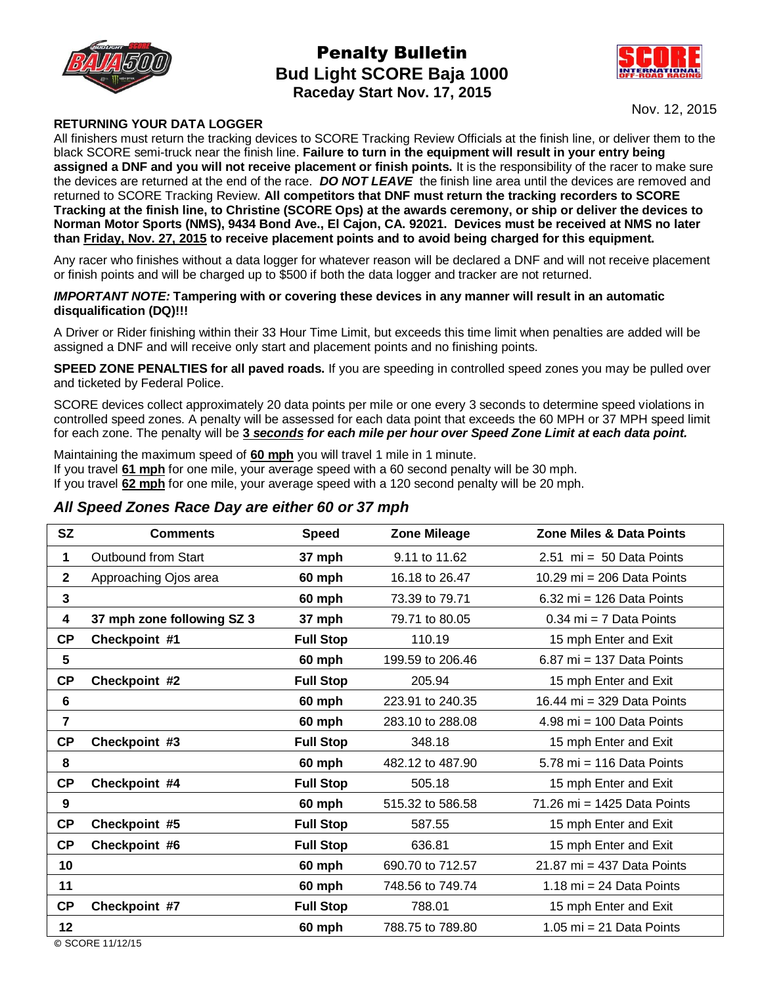

# Penalty Bulletin **Bud Light SCORE Baja 1000 Raceday Start Nov. 17, 2015**



Nov. 12, 2015

### **RETURNING YOUR DATA LOGGER**

All finishers must return the tracking devices to SCORE Tracking Review Officials at the finish line, or deliver them to the black SCORE semi-truck near the finish line. **Failure to turn in the equipment will result in your entry being assigned a DNF and you will not receive placement or finish points.** It is the responsibility of the racer to make sure the devices are returned at the end of the race. *DO NOT LEAVE* the finish line area until the devices are removed and returned to SCORE Tracking Review. **All competitors that DNF must return the tracking recorders to SCORE Tracking at the finish line, to Christine (SCORE Ops) at the awards ceremony, or ship or deliver the devices to Norman Motor Sports (NMS), 9434 Bond Ave., El Cajon, CA. 92021. Devices must be received at NMS no later than Friday, Nov. 27, 2015 to receive placement points and to avoid being charged for this equipment.** 

Any racer who finishes without a data logger for whatever reason will be declared a DNF and will not receive placement or finish points and will be charged up to \$500 if both the data logger and tracker are not returned.

#### *IMPORTANT NOTE:* **Tampering with or covering these devices in any manner will result in an automatic disqualification (DQ)!!!**

A Driver or Rider finishing within their 33 Hour Time Limit, but exceeds this time limit when penalties are added will be assigned a DNF and will receive only start and placement points and no finishing points.

**SPEED ZONE PENALTIES for all paved roads.** If you are speeding in controlled speed zones you may be pulled over and ticketed by Federal Police.

SCORE devices collect approximately 20 data points per mile or one every 3 seconds to determine speed violations in controlled speed zones. A penalty will be assessed for each data point that exceeds the 60 MPH or 37 MPH speed limit for each zone. The penalty will be **3** *seconds for each mile per hour over Speed Zone Limit at each data point.*

Maintaining the maximum speed of **60 mph** you will travel 1 mile in 1 minute. If you travel **61 mph** for one mile, your average speed with a 60 second penalty will be 30 mph. If you travel **62 mph** for one mile, your average speed with a 120 second penalty will be 20 mph.

## *All Speed Zones Race Day are either 60 or 37 mph*

| <b>SZ</b>      | <b>Comments</b>            | <b>Speed</b>     | <b>Zone Mileage</b> | <b>Zone Miles &amp; Data Points</b> |
|----------------|----------------------------|------------------|---------------------|-------------------------------------|
| 1              | Outbound from Start        | 37 mph           | 9.11 to 11.62       | $2.51$ mi = 50 Data Points          |
| $\mathbf{2}$   | Approaching Ojos area      | 60 mph           | 16.18 to 26.47      | 10.29 mi = 206 Data Points          |
| $\overline{3}$ |                            | 60 mph           | 73.39 to 79.71      | $6.32$ mi = 126 Data Points         |
| 4              | 37 mph zone following SZ 3 | 37 mph           | 79.71 to 80.05      | $0.34$ mi = 7 Data Points           |
| <b>CP</b>      | Checkpoint #1              | <b>Full Stop</b> | 110.19              | 15 mph Enter and Exit               |
| 5              |                            | 60 mph           | 199.59 to 206.46    | $6.87$ mi = 137 Data Points         |
| CP             | Checkpoint #2              | <b>Full Stop</b> | 205.94              | 15 mph Enter and Exit               |
| 6              |                            | 60 mph           | 223.91 to 240.35    | 16.44 mi = 329 Data Points          |
| $\overline{7}$ |                            | 60 mph           | 283.10 to 288.08    | $4.98$ mi = 100 Data Points         |
| CP             | Checkpoint #3              | <b>Full Stop</b> | 348.18              | 15 mph Enter and Exit               |
| 8              |                            | 60 mph           | 482.12 to 487.90    | 5.78 mi = 116 Data Points           |
| CP             | Checkpoint #4              | <b>Full Stop</b> | 505.18              | 15 mph Enter and Exit               |
| 9              |                            | 60 mph           | 515.32 to 586.58    | 71.26 mi = 1425 Data Points         |
| CP             | Checkpoint #5              | <b>Full Stop</b> | 587.55              | 15 mph Enter and Exit               |
| <b>CP</b>      | Checkpoint #6              | <b>Full Stop</b> | 636.81              | 15 mph Enter and Exit               |
| 10             |                            | 60 mph           | 690.70 to 712.57    | 21.87 mi = 437 Data Points          |
| 11             |                            | 60 mph           | 748.56 to 749.74    | 1.18 mi = 24 Data Points            |
| CP             | Checkpoint #7              | <b>Full Stop</b> | 788.01              | 15 mph Enter and Exit               |
| 12             |                            | 60 mph           | 788.75 to 789.80    | 1.05 mi = 21 Data Points            |